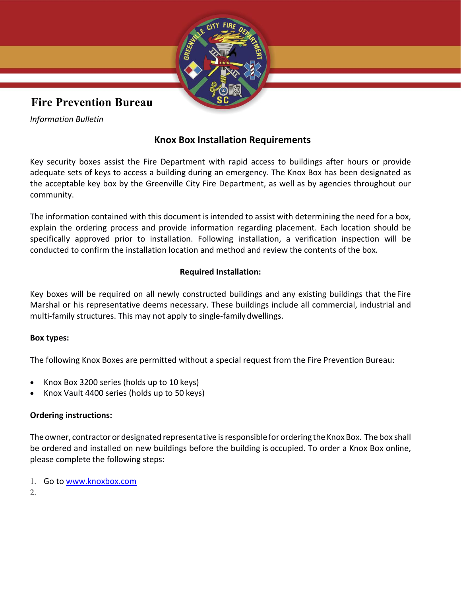

# **Fire Prevention Bureau**

*Information Bulletin*

# **Knox Box Installation Requirements**

Key security boxes assist the Fire Department with rapid access to buildings after hours or provide adequate sets of keys to access a building during an emergency. The Knox Box has been designated as the acceptable key box by the Greenville City Fire Department, as well as by agencies throughout our community.

The information contained with this document is intended to assist with determining the need for a box, explain the ordering process and provide information regarding placement. Each location should be specifically approved prior to installation. Following installation, a verification inspection will be conducted to confirm the installation location and method and review the contents of the box.

# **Required Installation:**

Key boxes will be required on all newly constructed buildings and any existing buildings that the Fire Marshal or his representative deems necessary. These buildings include all commercial, industrial and multi-family structures. This may not apply to single-family dwellings.

## **Box types:**

The following Knox Boxes are permitted without a special request from the Fire Prevention Bureau:

- Knox Box 3200 series (holds up to 10 keys)
- Knox Vault 4400 series (holds up to 50 keys)

## **Ordering instructions:**

The owner, contractor ordesignated representative isresponsible for ordering the Knox Box. The box shall be ordered and installed on new buildings before the building is occupied. To order a Knox Box online, please complete the following steps:

1. Go to [www.knoxbox.com](http://www.knoxbox.com/)

2.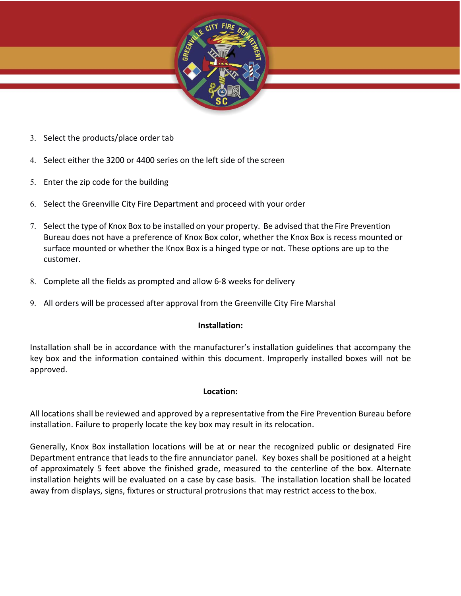

- 3. Select the products/place order tab
- 4. Select either the 3200 or 4400 series on the left side of the screen
- 5. Enter the zip code for the building
- 6. Select the Greenville City Fire Department and proceed with your order
- 7. Select the type of Knox Box to be installed on your property. Be advised that the Fire Prevention Bureau does not have a preference of Knox Box color, whether the Knox Box is recess mounted or surface mounted or whether the Knox Box is a hinged type or not. These options are up to the customer.
- 8. Complete all the fields as prompted and allow 6-8 weeks for delivery
- 9. All orders will be processed after approval from the Greenville City Fire Marshal

## **Installation:**

Installation shall be in accordance with the manufacturer's installation guidelines that accompany the key box and the information contained within this document. Improperly installed boxes will not be approved.

## **Location:**

All locations shall be reviewed and approved by a representative from the Fire Prevention Bureau before installation. Failure to properly locate the key box may result in its relocation.

Generally, Knox Box installation locations will be at or near the recognized public or designated Fire Department entrance that leads to the fire annunciator panel. Key boxes shall be positioned at a height of approximately 5 feet above the finished grade, measured to the centerline of the box. Alternate installation heights will be evaluated on a case by case basis. The installation location shall be located away from displays, signs, fixtures or structural protrusions that may restrict access to the box.